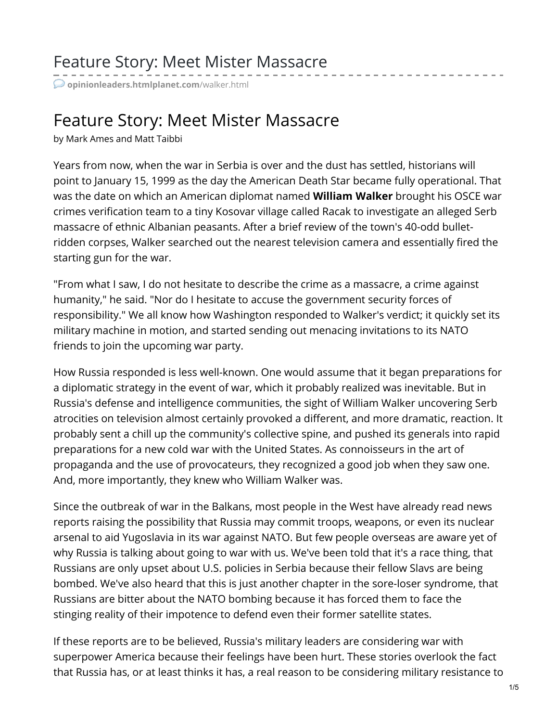## Feature Story: Meet Mister Massacre

**[opinionleaders.htmlplanet.com](http://opinionleaders.htmlplanet.com/walker.html)**/walker.html

## Feature Story: Meet Mister Massacre

by Mark Ames and Matt Taibbi

Years from now, when the war in Serbia is over and the dust has settled, historians will point to January 15, 1999 as the day the American Death Star became fully operational. That was the date on which an American diplomat named **William Walker** brought his OSCE war crimes verification team to a tiny Kosovar village called Racak to investigate an alleged Serb massacre of ethnic Albanian peasants. After a brief review of the town's 40-odd bulletridden corpses, Walker searched out the nearest television camera and essentially fired the starting gun for the war.

"From what I saw, I do not hesitate to describe the crime as a massacre, a crime against humanity," he said. "Nor do I hesitate to accuse the government security forces of responsibility." We all know how Washington responded to Walker's verdict; it quickly set its military machine in motion, and started sending out menacing invitations to its NATO friends to join the upcoming war party.

How Russia responded is less well-known. One would assume that it began preparations for a diplomatic strategy in the event of war, which it probably realized was inevitable. But in Russia's defense and intelligence communities, the sight of William Walker uncovering Serb atrocities on television almost certainly provoked a different, and more dramatic, reaction. It probably sent a chill up the community's collective spine, and pushed its generals into rapid preparations for a new cold war with the United States. As connoisseurs in the art of propaganda and the use of provocateurs, they recognized a good job when they saw one. And, more importantly, they knew who William Walker was.

Since the outbreak of war in the Balkans, most people in the West have already read news reports raising the possibility that Russia may commit troops, weapons, or even its nuclear arsenal to aid Yugoslavia in its war against NATO. But few people overseas are aware yet of why Russia is talking about going to war with us. We've been told that it's a race thing, that Russians are only upset about U.S. policies in Serbia because their fellow Slavs are being bombed. We've also heard that this is just another chapter in the sore-loser syndrome, that Russians are bitter about the NATO bombing because it has forced them to face the stinging reality of their impotence to defend even their former satellite states.

If these reports are to be believed, Russia's military leaders are considering war with superpower America because their feelings have been hurt. These stories overlook the fact that Russia has, or at least thinks it has, a real reason to be considering military resistance to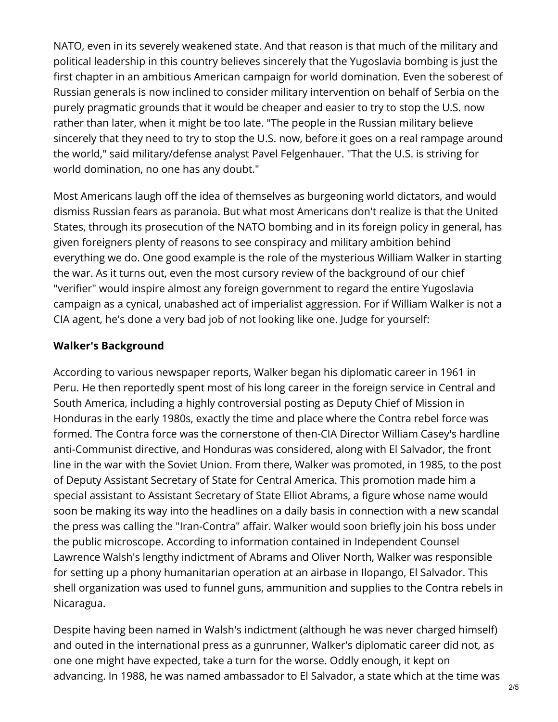NATO, even in its severely weakened state. And that reason is that much of the military and political leadership in this country believes sincerely that the Yugoslavia bombing is just the first chapter in an ambitious American campaign for world domination. Even the soberest of Russian generals is now inclined to consider military intervention on behalf of Serbia on the purely pragmatic grounds that it would be cheaper and easier to try to stop the U.S. now rather than later, when it might be too late. "The people in the Russian military believe sincerely that they need to try to stop the U.S. now, before it goes on a real rampage around the world," said military/defense analyst Pavel Felgenhauer. "That the U.S. is striving for world domination, no one has any doubt."

Most Americans laugh off the idea of themselves as burgeoning world dictators, and would dismiss Russian fears as paranoia. But what most Americans don't realize is that the United States, through its prosecution of the NATO bombing and in its foreign policy in general, has given foreigners plenty of reasons to see conspiracy and military ambition behind everything we do. One good example is the role of the mysterious William Walker in starting the war. As it turns out, even the most cursory review of the background of our chief "verifier" would inspire almost any foreign government to regard the entire Yugoslavia campaign as a cynical, unabashed act of imperialist aggression. For if William Walker is not a CIA agent, he's done a very bad job of not looking like one. Judge for yourself:

## **Walker's Background**

According to various newspaper reports, Walker began his diplomatic career in 1961 in Peru. He then reportedly spent most of his long career in the foreign service in Central and South America, including a highly controversial posting as Deputy Chief of Mission in Honduras in the early 1980s, exactly the time and place where the Contra rebel force was formed. The Contra force was the cornerstone of then-CIA Director William Casey's hardline anti-Communist directive, and Honduras was considered, along with El Salvador, the front line in the war with the Soviet Union. From there, Walker was promoted, in 1985, to the post of Deputy Assistant Secretary of State for Central America. This promotion made him a special assistant to Assistant Secretary of State Elliot Abrams, a figure whose name would soon be making its way into the headlines on a daily basis in connection with a new scandal the press was calling the "Iran-Contra" affair. Walker would soon briefly join his boss under the public microscope. According to information contained in Independent Counsel Lawrence Walsh's lengthy indictment of Abrams and Oliver North, Walker was responsible for setting up a phony humanitarian operation at an airbase in Ilopango, El Salvador. This shell organization was used to funnel guns, ammunition and supplies to the Contra rebels in Nicaragua.

Despite having been named in Walsh's indictment (although he was never charged himself) and outed in the international press as a gunrunner, Walker's diplomatic career did not, as one one might have expected, take a turn for the worse. Oddly enough, it kept on advancing. In 1988, he was named ambassador to El Salvador, a state which at the time was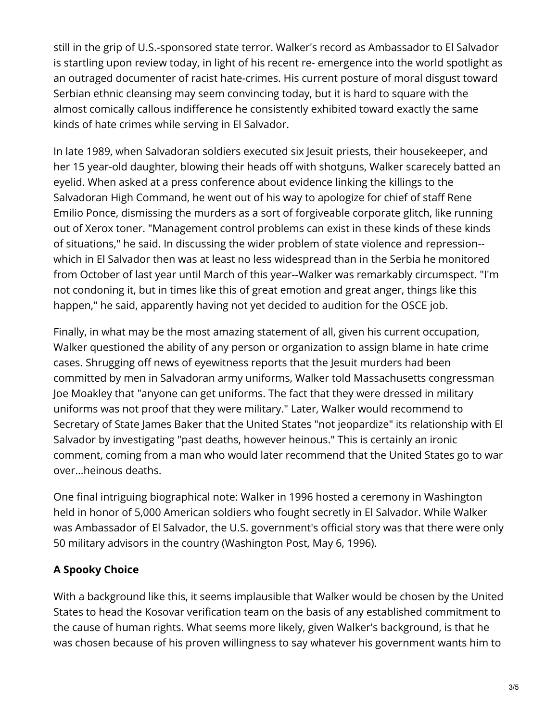still in the grip of U.S.-sponsored state terror. Walker's record as Ambassador to El Salvador is startling upon review today, in light of his recent re- emergence into the world spotlight as an outraged documenter of racist hate-crimes. His current posture of moral disgust toward Serbian ethnic cleansing may seem convincing today, but it is hard to square with the almost comically callous indifference he consistently exhibited toward exactly the same kinds of hate crimes while serving in El Salvador.

In late 1989, when Salvadoran soldiers executed six Jesuit priests, their housekeeper, and her 15 year-old daughter, blowing their heads off with shotguns, Walker scarecely batted an eyelid. When asked at a press conference about evidence linking the killings to the Salvadoran High Command, he went out of his way to apologize for chief of staff Rene Emilio Ponce, dismissing the murders as a sort of forgiveable corporate glitch, like running out of Xerox toner. "Management control problems can exist in these kinds of these kinds of situations," he said. In discussing the wider problem of state violence and repression- which in El Salvador then was at least no less widespread than in the Serbia he monitored from October of last year until March of this year--Walker was remarkably circumspect. "I'm not condoning it, but in times like this of great emotion and great anger, things like this happen," he said, apparently having not yet decided to audition for the OSCE job.

Finally, in what may be the most amazing statement of all, given his current occupation, Walker questioned the ability of any person or organization to assign blame in hate crime cases. Shrugging off news of eyewitness reports that the Jesuit murders had been committed by men in Salvadoran army uniforms, Walker told Massachusetts congressman Joe Moakley that "anyone can get uniforms. The fact that they were dressed in military uniforms was not proof that they were military." Later, Walker would recommend to Secretary of State James Baker that the United States "not jeopardize" its relationship with El Salvador by investigating "past deaths, however heinous." This is certainly an ironic comment, coming from a man who would later recommend that the United States go to war over...heinous deaths.

One final intriguing biographical note: Walker in 1996 hosted a ceremony in Washington held in honor of 5,000 American soldiers who fought secretly in El Salvador. While Walker was Ambassador of El Salvador, the U.S. government's official story was that there were only 50 military advisors in the country (Washington Post, May 6, 1996).

## **A Spooky Choice**

With a background like this, it seems implausible that Walker would be chosen by the United States to head the Kosovar verification team on the basis of any established commitment to the cause of human rights. What seems more likely, given Walker's background, is that he was chosen because of his proven willingness to say whatever his government wants him to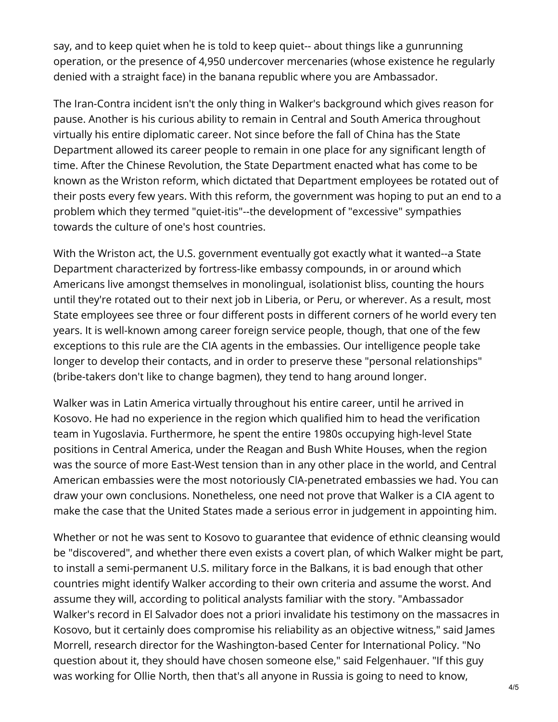say, and to keep quiet when he is told to keep quiet-- about things like a gunrunning operation, or the presence of 4,950 undercover mercenaries (whose existence he regularly denied with a straight face) in the banana republic where you are Ambassador.

The Iran-Contra incident isn't the only thing in Walker's background which gives reason for pause. Another is his curious ability to remain in Central and South America throughout virtually his entire diplomatic career. Not since before the fall of China has the State Department allowed its career people to remain in one place for any significant length of time. After the Chinese Revolution, the State Department enacted what has come to be known as the Wriston reform, which dictated that Department employees be rotated out of their posts every few years. With this reform, the government was hoping to put an end to a problem which they termed "quiet-itis"--the development of "excessive" sympathies towards the culture of one's host countries.

With the Wriston act, the U.S. government eventually got exactly what it wanted--a State Department characterized by fortress-like embassy compounds, in or around which Americans live amongst themselves in monolingual, isolationist bliss, counting the hours until they're rotated out to their next job in Liberia, or Peru, or wherever. As a result, most State employees see three or four different posts in different corners of he world every ten years. It is well-known among career foreign service people, though, that one of the few exceptions to this rule are the CIA agents in the embassies. Our intelligence people take longer to develop their contacts, and in order to preserve these "personal relationships" (bribe-takers don't like to change bagmen), they tend to hang around longer.

Walker was in Latin America virtually throughout his entire career, until he arrived in Kosovo. He had no experience in the region which qualified him to head the verification team in Yugoslavia. Furthermore, he spent the entire 1980s occupying high-level State positions in Central America, under the Reagan and Bush White Houses, when the region was the source of more East-West tension than in any other place in the world, and Central American embassies were the most notoriously CIA-penetrated embassies we had. You can draw your own conclusions. Nonetheless, one need not prove that Walker is a CIA agent to make the case that the United States made a serious error in judgement in appointing him.

Whether or not he was sent to Kosovo to guarantee that evidence of ethnic cleansing would be "discovered", and whether there even exists a covert plan, of which Walker might be part, to install a semi-permanent U.S. military force in the Balkans, it is bad enough that other countries might identify Walker according to their own criteria and assume the worst. And assume they will, according to political analysts familiar with the story. "Ambassador Walker's record in El Salvador does not a priori invalidate his testimony on the massacres in Kosovo, but it certainly does compromise his reliability as an objective witness," said James Morrell, research director for the Washington-based Center for International Policy. "No question about it, they should have chosen someone else," said Felgenhauer. "If this guy was working for Ollie North, then that's all anyone in Russia is going to need to know,